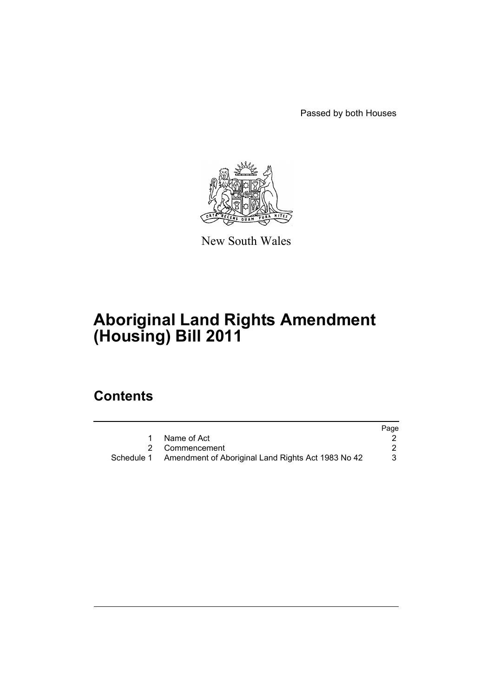Passed by both Houses



New South Wales

# **Aboriginal Land Rights Amendment (Housing) Bill 2011**

## **Contents**

|                                                               | Page |
|---------------------------------------------------------------|------|
| Name of Act                                                   |      |
| 2 Commencement                                                |      |
| Schedule 1 Amendment of Aboriginal Land Rights Act 1983 No 42 |      |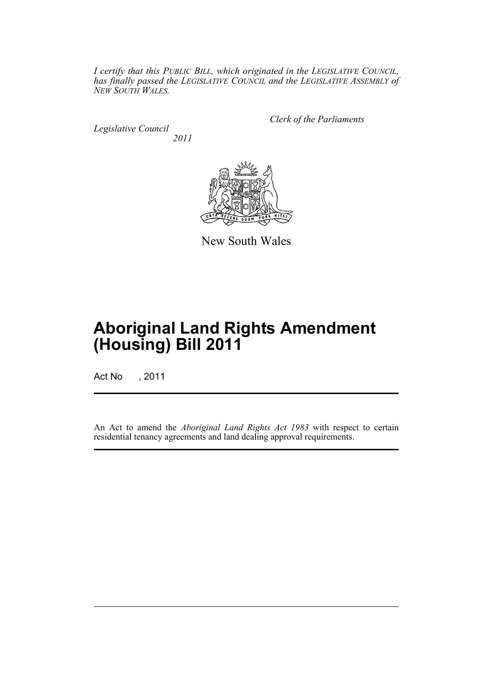*I certify that this PUBLIC BILL, which originated in the LEGISLATIVE COUNCIL, has finally passed the LEGISLATIVE COUNCIL and the LEGISLATIVE ASSEMBLY of NEW SOUTH WALES.*

*Legislative Council 2011* *Clerk of the Parliaments*



New South Wales

## **Aboriginal Land Rights Amendment (Housing) Bill 2011**

Act No , 2011

An Act to amend the *Aboriginal Land Rights Act 1983* with respect to certain residential tenancy agreements and land dealing approval requirements.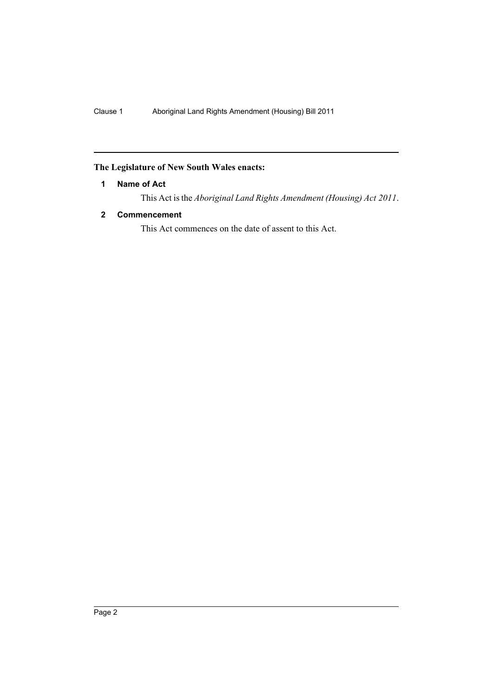### <span id="page-3-0"></span>**The Legislature of New South Wales enacts:**

#### **1 Name of Act**

This Act is the *Aboriginal Land Rights Amendment (Housing) Act 2011*.

#### <span id="page-3-1"></span>**2 Commencement**

This Act commences on the date of assent to this Act.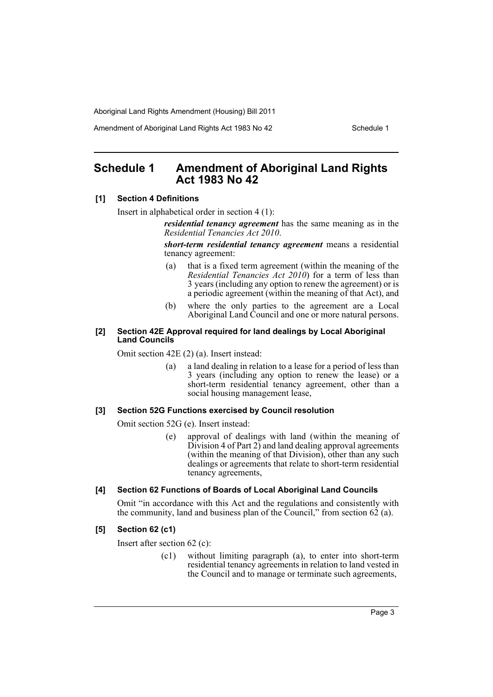Aboriginal Land Rights Amendment (Housing) Bill 2011

Amendment of Aboriginal Land Rights Act 1983 No 42 Schedule 1

## <span id="page-4-0"></span>**Schedule 1 Amendment of Aboriginal Land Rights Act 1983 No 42**

#### **[1] Section 4 Definitions**

Insert in alphabetical order in section 4 (1):

*residential tenancy agreement* has the same meaning as in the *Residential Tenancies Act 2010*.

*short-term residential tenancy agreement* means a residential tenancy agreement:

- (a) that is a fixed term agreement (within the meaning of the *Residential Tenancies Act 2010*) for a term of less than 3 years (including any option to renew the agreement) or is a periodic agreement (within the meaning of that Act), and
- (b) where the only parties to the agreement are a Local Aboriginal Land Council and one or more natural persons.

#### **[2] Section 42E Approval required for land dealings by Local Aboriginal Land Councils**

Omit section 42E (2) (a). Insert instead:

(a) a land dealing in relation to a lease for a period of less than 3 years (including any option to renew the lease) or a short-term residential tenancy agreement, other than a social housing management lease,

#### **[3] Section 52G Functions exercised by Council resolution**

Omit section 52G (e). Insert instead:

(e) approval of dealings with land (within the meaning of  $\overline{\text{Division}}$  4 of Part 2) and land dealing approval agreements (within the meaning of that Division), other than any such dealings or agreements that relate to short-term residential tenancy agreements,

#### **[4] Section 62 Functions of Boards of Local Aboriginal Land Councils**

Omit "in accordance with this Act and the regulations and consistently with the community, land and business plan of the Council," from section  $62$  (a).

#### **[5] Section 62 (c1)**

Insert after section 62 (c):

(c1) without limiting paragraph (a), to enter into short-term residential tenancy agreements in relation to land vested in the Council and to manage or terminate such agreements,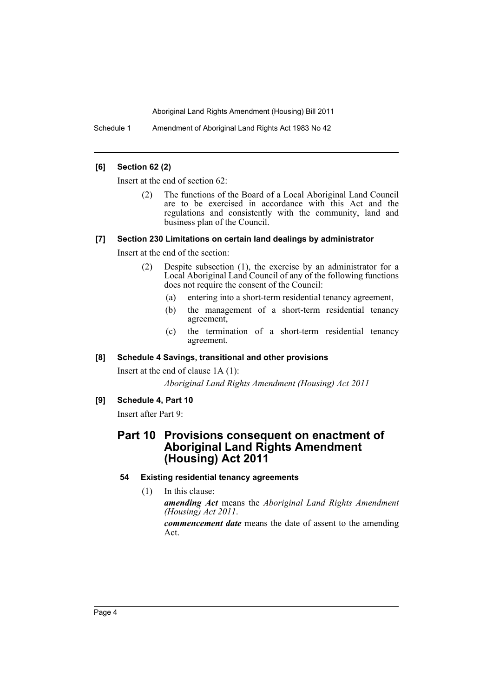Aboriginal Land Rights Amendment (Housing) Bill 2011

Schedule 1 Amendment of Aboriginal Land Rights Act 1983 No 42

#### **[6] Section 62 (2)**

Insert at the end of section 62:

(2) The functions of the Board of a Local Aboriginal Land Council are to be exercised in accordance with this Act and the regulations and consistently with the community, land and business plan of the Council.

#### **[7] Section 230 Limitations on certain land dealings by administrator**

Insert at the end of the section:

- (2) Despite subsection (1), the exercise by an administrator for a Local Aboriginal Land Council of any of the following functions does not require the consent of the Council:
	- (a) entering into a short-term residential tenancy agreement,
	- (b) the management of a short-term residential tenancy agreement,
	- (c) the termination of a short-term residential tenancy agreement.

#### **[8] Schedule 4 Savings, transitional and other provisions**

Insert at the end of clause 1A (1): *Aboriginal Land Rights Amendment (Housing) Act 2011*

#### **[9] Schedule 4, Part 10**

Insert after Part 9:

### **Part 10 Provisions consequent on enactment of Aboriginal Land Rights Amendment (Housing) Act 2011**

#### **54 Existing residential tenancy agreements**

(1) In this clause:

*amending Act* means the *Aboriginal Land Rights Amendment (Housing) Act 2011*.

*commencement date* means the date of assent to the amending Act.